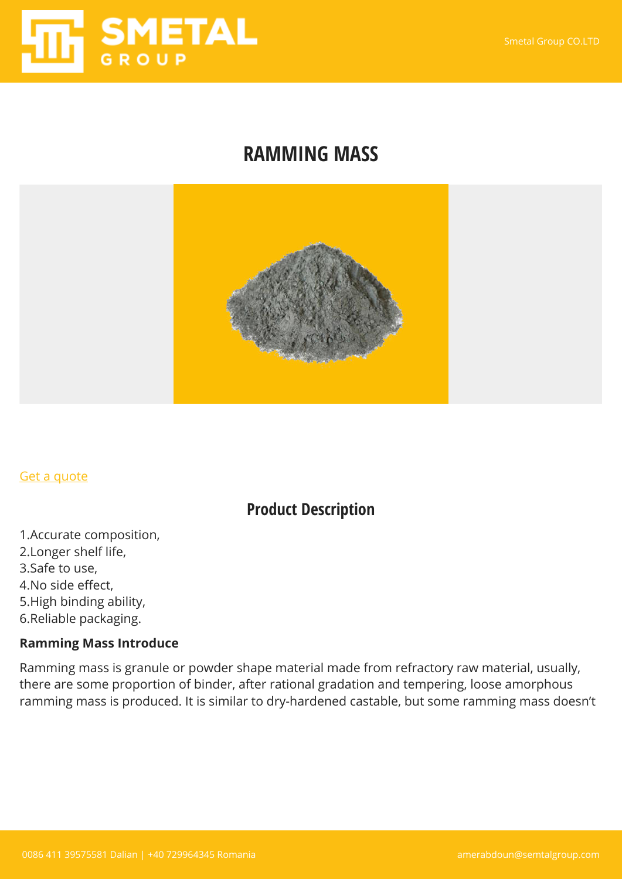

## **RAMMING MASS**



#### [Get a quote](https://smetalgroup.com/contact-us)

### **Product Description**

1.Accurate composition, 2.Longer shelf life, 3.Safe to use, 4.No side effect, 5.High binding ability, 6.Reliable packaging.

#### **Ramming Mass Introduce**

Ramming mass is granule or powder shape material made from refractory raw material, usually, there are some proportion of binder, after rational gradation and tempering, loose amorphous ramming mass is produced. It is similar to dry-hardened castable, but some ramming mass doesn't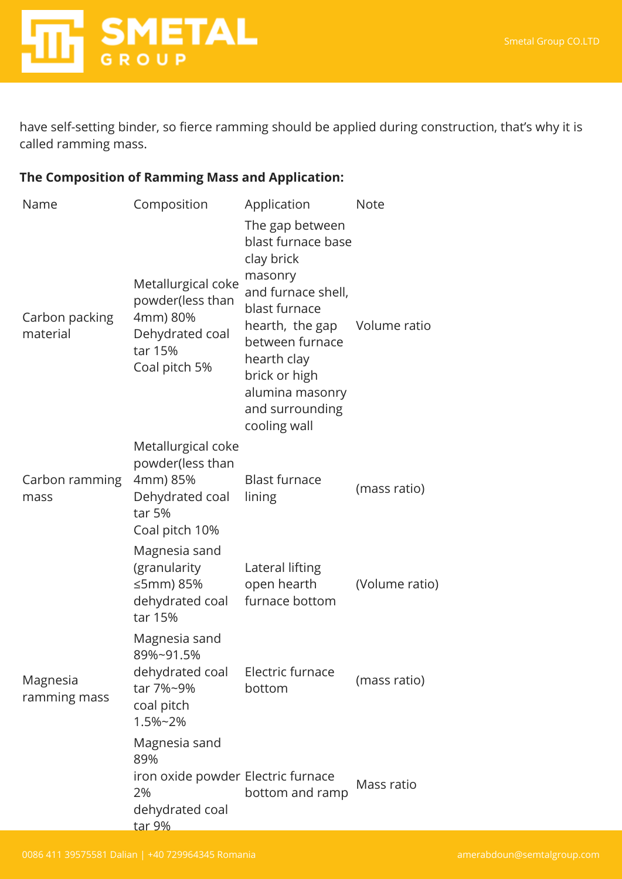

have self-setting binder, so fierce ramming should be applied during construction, that's why it is called ramming mass.

#### **The Composition of Ramming Mass and Application:**

| Name                       | Composition                                                                                          | Application                                                                                                                                                                                                                                    | <b>Note</b>    |
|----------------------------|------------------------------------------------------------------------------------------------------|------------------------------------------------------------------------------------------------------------------------------------------------------------------------------------------------------------------------------------------------|----------------|
| Carbon packing<br>material | Metallurgical coke<br>powder(less than<br>4mm) 80%<br>Dehydrated coal<br>tar 15%<br>Coal pitch 5%    | The gap between<br>blast furnace base<br>clay brick<br>masonry<br>and furnace shell,<br>blast furnace<br>hearth, the gap Volume ratio<br>between furnace<br>hearth clay<br>brick or high<br>alumina masonry<br>and surrounding<br>cooling wall |                |
| Carbon ramming<br>mass     | Metallurgical coke<br>powder(less than<br>4mm) 85%<br>Dehydrated coal<br>tar 5%<br>Coal pitch 10%    | <b>Blast furnace</b><br>lining                                                                                                                                                                                                                 | (mass ratio)   |
|                            | Magnesia sand<br>(granularity<br>≤5mm) 85%<br>dehydrated coal<br>tar 15%                             | Lateral lifting<br>open hearth<br>furnace bottom                                                                                                                                                                                               | (Volume ratio) |
| Magnesia<br>ramming mass   | Magnesia sand<br>89%~91.5%<br>dehydrated coal<br>tar 7%~9%<br>coal pitch<br>1.5%~2%                  | Electric furnace<br>bottom                                                                                                                                                                                                                     | (mass ratio)   |
|                            | Magnesia sand<br>89%<br>iron oxide powder Electric furnace<br>2%<br>dehydrated coal<br><u>tar 9%</u> | bottom and ramp                                                                                                                                                                                                                                | Mass ratio     |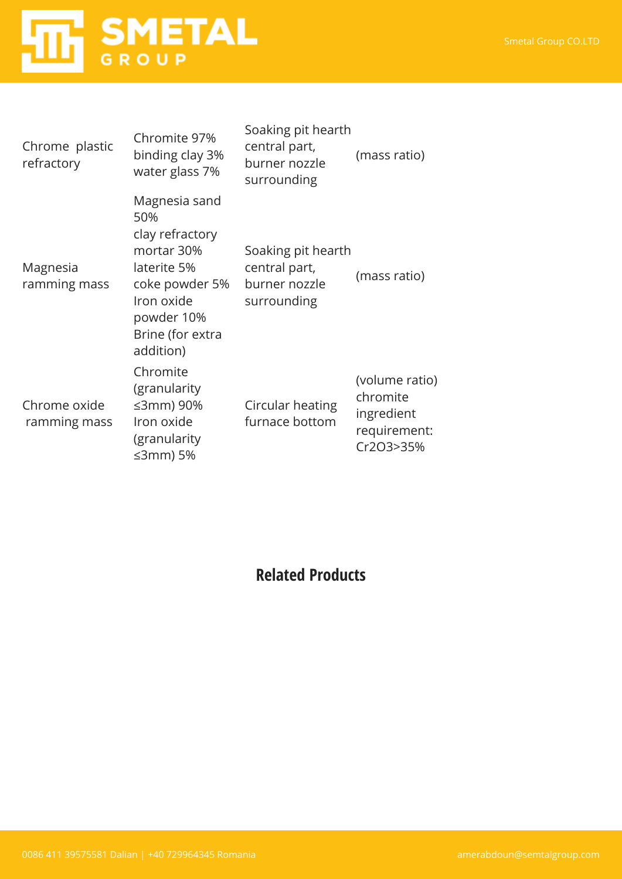# **HITE** SMETAL

| Chrome plastic<br>refractory | Chromite 97%<br>binding clay 3%<br>water glass 7%                                                                                                   | Soaking pit hearth<br>central part,<br>burner nozzle<br>surrounding | (mass ratio)                                                          |
|------------------------------|-----------------------------------------------------------------------------------------------------------------------------------------------------|---------------------------------------------------------------------|-----------------------------------------------------------------------|
| Magnesia<br>ramming mass     | Magnesia sand<br>50%<br>clay refractory<br>mortar 30%<br>laterite 5%<br>coke powder 5%<br>Iron oxide<br>powder 10%<br>Brine (for extra<br>addition) | Soaking pit hearth<br>central part,<br>burner nozzle<br>surrounding | (mass ratio)                                                          |
| Chrome oxide<br>ramming mass | Chromite<br>(granularity<br>≤3mm) 90%<br>Iron oxide<br>(granularity<br>≤3mm) 5%                                                                     | Circular heating<br>furnace bottom                                  | (volume ratio)<br>chromite<br>ingredient<br>requirement:<br>Cr2O3>35% |

## **Related Products**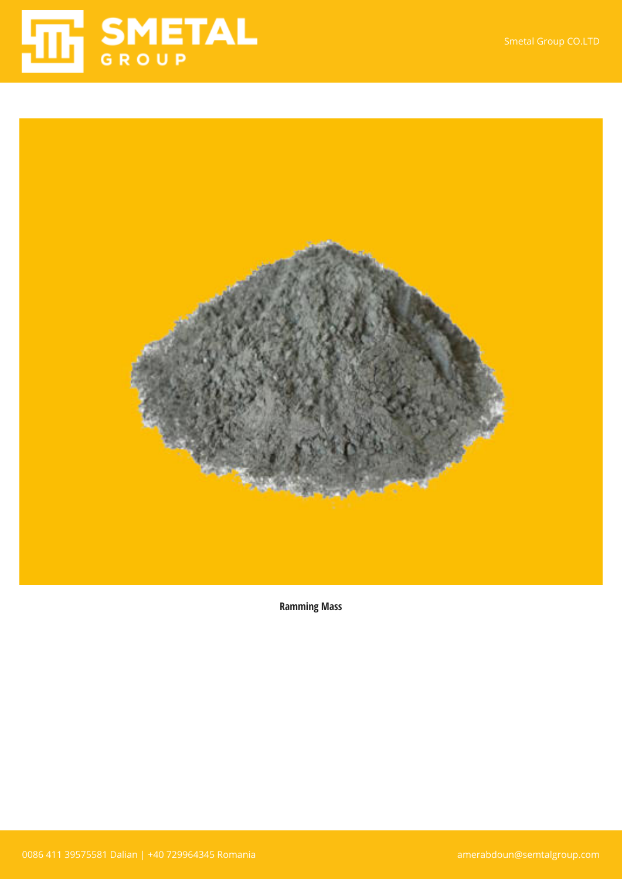



**Ramming Mass**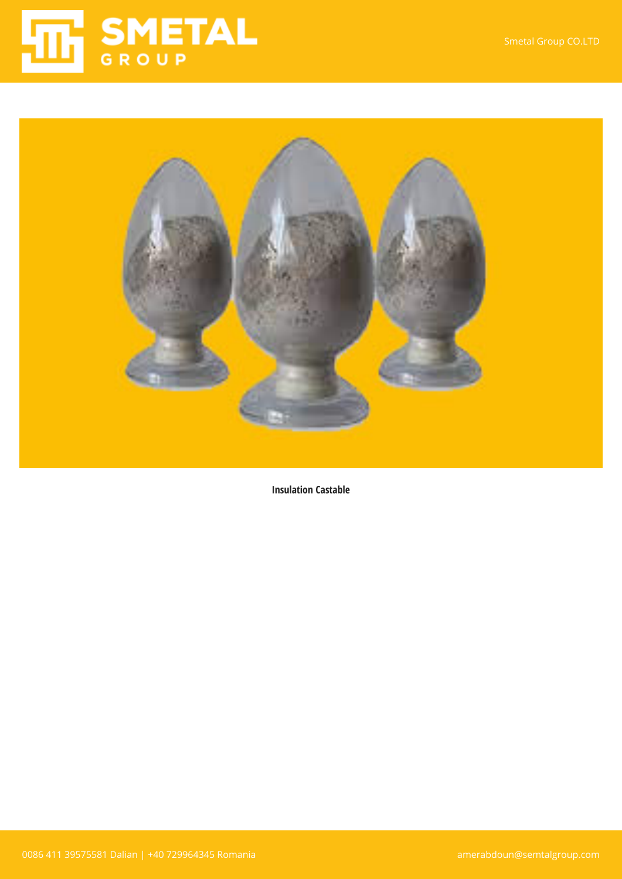



**Insulation Castable**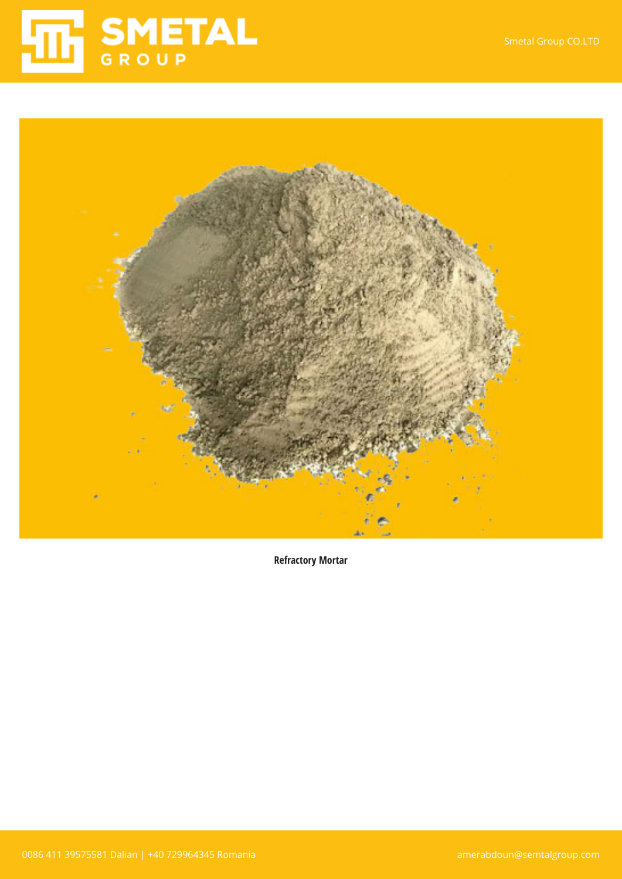



**Refractory Mortar**